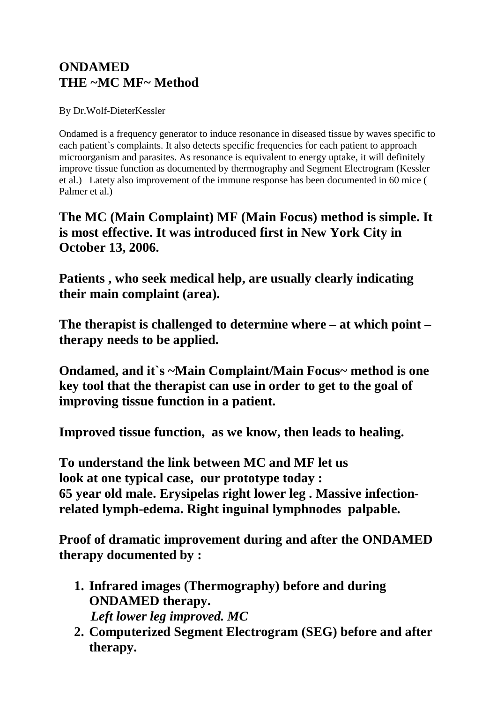## **ONDAMED THE ~MC MF~ Method**

By Dr.Wolf-DieterKessler

Ondamed is a frequency generator to induce resonance in diseased tissue by waves specific to each patient`s complaints. It also detects specific frequencies for each patient to approach microorganism and parasites. As resonance is equivalent to energy uptake, it will definitely improve tissue function as documented by thermography and Segment Electrogram (Kessler et al.) Latety also improvement of the immune response has been documented in 60 mice ( Palmer et al.)

**The MC (Main Complaint) MF (Main Focus) method is simple. It is most effective. It was introduced first in New York City in October 13, 2006.**

**Patients , who seek medical help, are usually clearly indicating their main complaint (area).** 

**The therapist is challenged to determine where – at which point – therapy needs to be applied.**

**Ondamed, and it`s ~Main Complaint/Main Focus~ method is one key tool that the therapist can use in order to get to the goal of improving tissue function in a patient.**

**Improved tissue function, as we know, then leads to healing.** 

**To understand the link between MC and MF let us look at one typical case, our prototype today : 65 year old male. Erysipelas right lower leg . Massive infectionrelated lymph-edema. Right inguinal lymphnodes palpable.**

**Proof of dramatic improvement during and after the ONDAMED therapy documented by :**

- **1. Infrared images (Thermography) before and during ONDAMED therapy.** *Left lower leg improved. MC*
- **2. Computerized Segment Electrogram (SEG) before and after therapy.**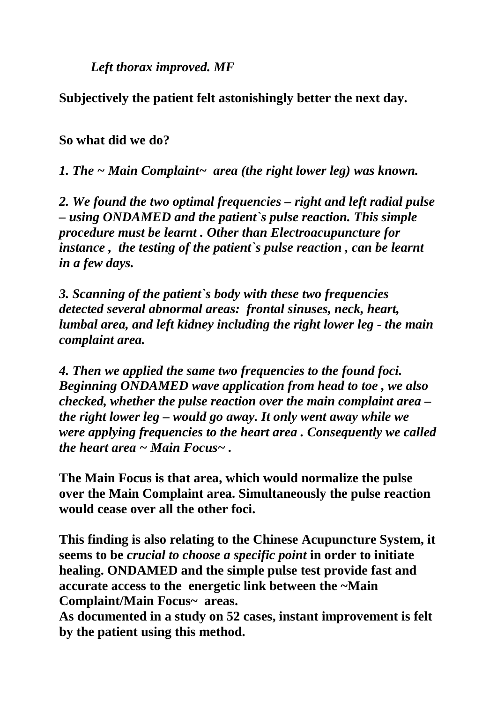*Left thorax improved. MF*

**Subjectively the patient felt astonishingly better the next day.**

**So what did we do?**

*1. The ~ Main Complaint~ area (the right lower leg) was known.* 

*2. We found the two optimal frequencies – right and left radial pulse – using ONDAMED and the patient`s pulse reaction. This simple procedure must be learnt . Other than Electroacupuncture for instance , the testing of the patient`s pulse reaction , can be learnt in a few days.*

*3. Scanning of the patient`s body with these two frequencies detected several abnormal areas: frontal sinuses, neck, heart, lumbal area, and left kidney including the right lower leg - the main complaint area.*

*4. Then we applied the same two frequencies to the found foci. Beginning ONDAMED wave application from head to toe , we also checked, whether the pulse reaction over the main complaint area – the right lower leg – would go away. It only went away while we were applying frequencies to the heart area . Consequently we called the heart area ~ Main Focus~ .* 

**The Main Focus is that area, which would normalize the pulse over the Main Complaint area. Simultaneously the pulse reaction would cease over all the other foci.**

**This finding is also relating to the Chinese Acupuncture System, it seems to be** *crucial to choose a specific point* **in order to initiate healing. ONDAMED and the simple pulse test provide fast and accurate access to the energetic link between the ~Main Complaint/Main Focus~ areas.** 

**As documented in a study on 52 cases, instant improvement is felt by the patient using this method.**